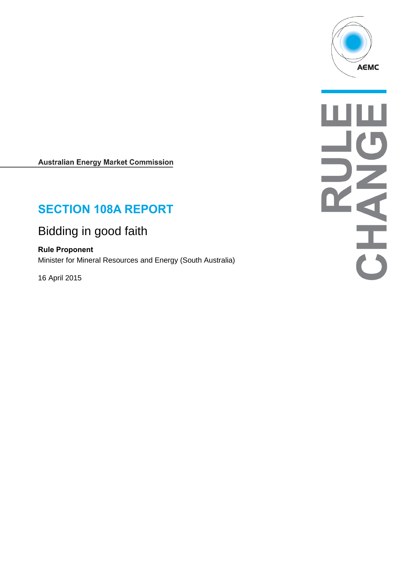

**Australian Energy Market Commission** 

# **SECTION 108A REPORT**

# Bidding in good faith

**Rule Proponent** Minister for Mineral Resources and Energy (South Australia)

16 April 2015

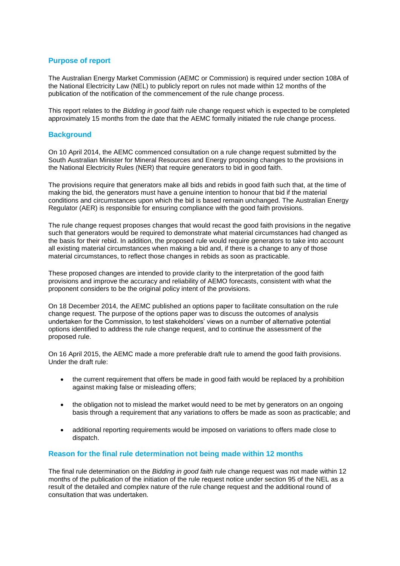## **Purpose of report**

The Australian Energy Market Commission (AEMC or Commission) is required under section 108A of the National Electricity Law (NEL) to publicly report on rules not made within 12 months of the publication of the notification of the commencement of the rule change process.

This report relates to the *Bidding in good faith* rule change request which is expected to be completed approximately 15 months from the date that the AEMC formally initiated the rule change process.

#### **Background**

On 10 April 2014, the AEMC commenced consultation on a rule change request submitted by the South Australian Minister for Mineral Resources and Energy proposing changes to the provisions in the National Electricity Rules (NER) that require generators to bid in good faith.

The provisions require that generators make all bids and rebids in good faith such that, at the time of making the bid, the generators must have a genuine intention to honour that bid if the material conditions and circumstances upon which the bid is based remain unchanged. The Australian Energy Regulator (AER) is responsible for ensuring compliance with the good faith provisions.

The rule change request proposes changes that would recast the good faith provisions in the negative such that generators would be required to demonstrate what material circumstances had changed as the basis for their rebid. In addition, the proposed rule would require generators to take into account all existing material circumstances when making a bid and, if there is a change to any of those material circumstances, to reflect those changes in rebids as soon as practicable.

These proposed changes are intended to provide clarity to the interpretation of the good faith provisions and improve the accuracy and reliability of AEMO forecasts, consistent with what the proponent considers to be the original policy intent of the provisions.

On 18 December 2014, the AEMC published an options paper to facilitate consultation on the rule change request. The purpose of the options paper was to discuss the outcomes of analysis undertaken for the Commission, to test stakeholders' views on a number of alternative potential options identified to address the rule change request, and to continue the assessment of the proposed rule.

On 16 April 2015, the AEMC made a more preferable draft rule to amend the good faith provisions. Under the draft rule:

- the current requirement that offers be made in good faith would be replaced by a prohibition against making false or misleading offers;
- the obligation not to mislead the market would need to be met by generators on an ongoing basis through a requirement that any variations to offers be made as soon as practicable; and
- additional reporting requirements would be imposed on variations to offers made close to dispatch.

#### **Reason for the final rule determination not being made within 12 months**

The final rule determination on the *Bidding in good faith* rule change request was not made within 12 months of the publication of the initiation of the rule request notice under section 95 of the NEL as a result of the detailed and complex nature of the rule change request and the additional round of consultation that was undertaken.